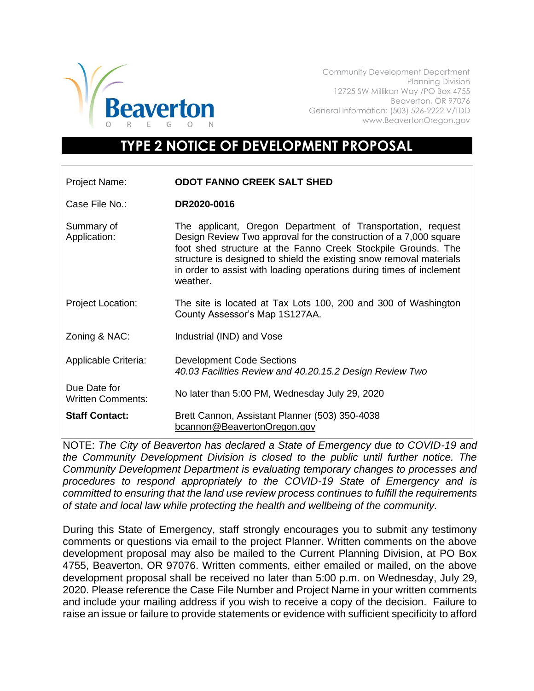

Community Development Department Planning Division 12725 SW Millikan Way /PO Box 4755 Beaverton, OR 97076 General Information: (503) 526-2222 V/TDD www.BeavertonOregon.gov

## **TYPE 2 NOTICE OF DEVELOPMENT PROPOSAL**

| Project Name:                            | <b>ODOT FANNO CREEK SALT SHED</b>                                                                                                                                                                                                                                                                                                                            |
|------------------------------------------|--------------------------------------------------------------------------------------------------------------------------------------------------------------------------------------------------------------------------------------------------------------------------------------------------------------------------------------------------------------|
| Case File No.:                           | DR2020-0016                                                                                                                                                                                                                                                                                                                                                  |
| Summary of<br>Application:               | The applicant, Oregon Department of Transportation, request<br>Design Review Two approval for the construction of a 7,000 square<br>foot shed structure at the Fanno Creek Stockpile Grounds. The<br>structure is designed to shield the existing snow removal materials<br>in order to assist with loading operations during times of inclement<br>weather. |
| <b>Project Location:</b>                 | The site is located at Tax Lots 100, 200 and 300 of Washington<br>County Assessor's Map 1S127AA.                                                                                                                                                                                                                                                             |
| Zoning & NAC:                            | Industrial (IND) and Vose                                                                                                                                                                                                                                                                                                                                    |
| Applicable Criteria:                     | <b>Development Code Sections</b><br>40.03 Facilities Review and 40.20.15.2 Design Review Two                                                                                                                                                                                                                                                                 |
| Due Date for<br><b>Written Comments:</b> | No later than 5:00 PM, Wednesday July 29, 2020                                                                                                                                                                                                                                                                                                               |
| <b>Staff Contact:</b>                    | Brett Cannon, Assistant Planner (503) 350-4038<br>bcannon@BeavertonOregon.gov                                                                                                                                                                                                                                                                                |

NOTE: *The City of Beaverton has declared a State of Emergency due to COVID-19 and the Community Development Division is closed to the public until further notice. The Community Development Department is evaluating temporary changes to processes and procedures to respond appropriately to the COVID-19 State of Emergency and is committed to ensuring that the land use review process continues to fulfill the requirements of state and local law while protecting the health and wellbeing of the community.*

During this State of Emergency, staff strongly encourages you to submit any testimony comments or questions via email to the project Planner. Written comments on the above development proposal may also be mailed to the Current Planning Division, at PO Box 4755, Beaverton, OR 97076. Written comments, either emailed or mailed, on the above development proposal shall be received no later than 5:00 p.m. on Wednesday, July 29, 2020. Please reference the Case File Number and Project Name in your written comments and include your mailing address if you wish to receive a copy of the decision. Failure to raise an issue or failure to provide statements or evidence with sufficient specificity to afford